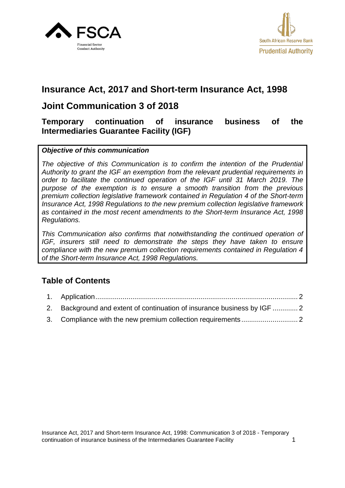



# **Insurance Act, 2017 and Short-term Insurance Act, 1998**

# **Joint Communication 3 of 2018**

#### **Temporary continuation of insurance business of the Intermediaries Guarantee Facility (IGF)**

#### *Objective of this communication*

*The objective of this Communication is to confirm the intention of the Prudential Authority to grant the IGF an exemption from the relevant prudential requirements in order to facilitate the continued operation of the IGF until 31 March 2019. The purpose of the exemption is to ensure a smooth transition from the previous premium collection legislative framework contained in Regulation 4 of the Short-term Insurance Act, 1998 Regulations to the new premium collection legislative framework as contained in the most recent amendments to the Short-term Insurance Act, 1998 Regulations.*

*This Communication also confirms that notwithstanding the continued operation of IGF, insurers still need to demonstrate the steps they have taken to ensure compliance with the new premium collection requirements contained in Regulation 4 of the Short-term Insurance Act, 1998 Regulations.*

## **Table of Contents**

| 2. Background and extent of continuation of insurance business by IGF  2 |  |
|--------------------------------------------------------------------------|--|
|                                                                          |  |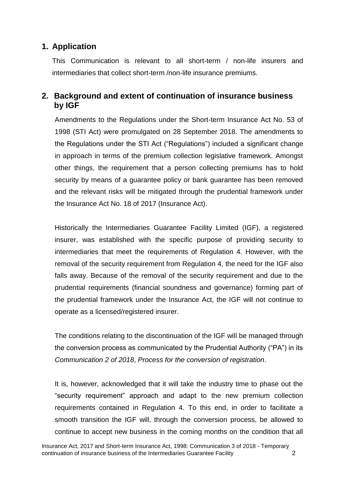## <span id="page-1-0"></span>**1. Application**

<span id="page-1-1"></span>This Communication is relevant to all short-term / non-life insurers and intermediaries that collect short-term /non-life insurance premiums.

### **2. Background and extent of continuation of insurance business by IGF**

<span id="page-1-2"></span>Amendments to the Regulations under the Short-term Insurance Act No. 53 of 1998 (STI Act) were promulgated on 28 September 2018. The amendments to the Regulations under the STI Act ("Regulations") included a significant change in approach in terms of the premium collection legislative framework. Amongst other things, the requirement that a person collecting premiums has to hold security by means of a guarantee policy or bank guarantee has been removed and the relevant risks will be mitigated through the prudential framework under the Insurance Act No. 18 of 2017 (Insurance Act).

Historically the Intermediaries Guarantee Facility Limited (IGF), a registered insurer, was established with the specific purpose of providing security to intermediaries that meet the requirements of Regulation 4. However, with the removal of the security requirement from Regulation 4, the need for the IGF also falls away. Because of the removal of the security requirement and due to the prudential requirements (financial soundness and governance) forming part of the prudential framework under the Insurance Act, the IGF will not continue to operate as a licensed/registered insurer.

The conditions relating to the discontinuation of the IGF will be managed through the conversion process as communicated by the Prudential Authority ("PA") in its *Communication 2 of 2018*, *Process for the conversion of registration*.

It is, however, acknowledged that it will take the industry time to phase out the "security requirement" approach and adapt to the new premium collection requirements contained in Regulation 4. To this end, in order to facilitate a smooth transition the IGF will, through the conversion process, be allowed to continue to accept new business in the coming months on the condition that all